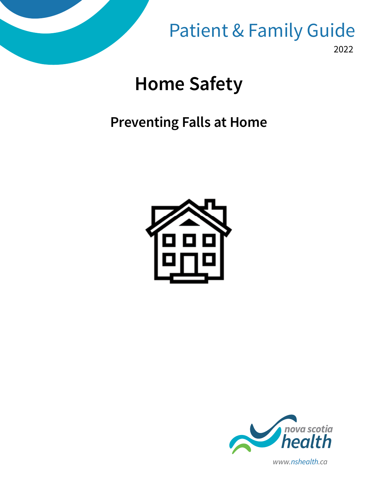

2022 Patient & Family Guide

# **Home Safety**

# **Preventing Falls at Home**





*www.nshealth.ca*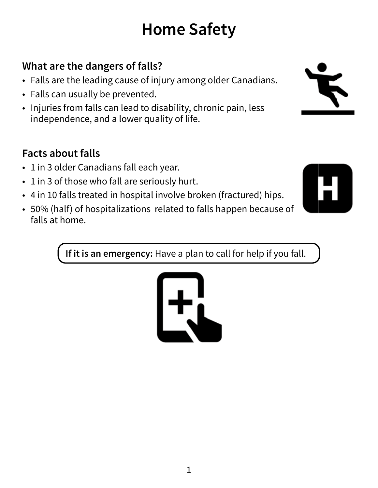# **Home Safety**

# **What are the dangers of falls?**

- Falls are the leading cause of injury among older Canadians.
- Falls can usually be prevented.
- Injuries from falls can lead to disability, chronic pain, less independence, and a lower quality of life.

# **Facts about falls**

- 1 in 3 older Canadians fall each year.
- 1 in 3 of those who fall are seriously hurt.
- 4 in 10 falls treated in hospital involve broken (fractured) hips.
- 50% (half) of hospitalizations related to falls happen because of falls at home.

**If it is an emergency:** Have a plan to call for help if you fall.



1



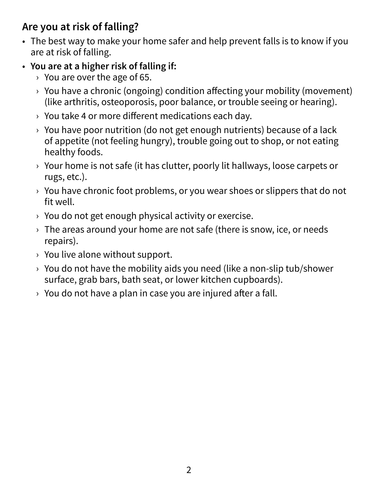#### **Are you at risk of falling?**

- The best way to make your home safer and help prevent falls is to know if you are at risk of falling.
- **You are at a higher risk of falling if:**
	- $\rightarrow$  You are over the age of 65.
	- $\rightarrow$  You have a chronic (ongoing) condition affecting your mobility (movement) (like arthritis, osteoporosis, poor balance, or trouble seeing or hearing).
	- › You take 4 or more different medications each day.
	- $\rightarrow$  You have poor nutrition (do not get enough nutrients) because of a lack of appetite (not feeling hungry), trouble going out to shop, or not eating healthy foods.
	- › Your home is not safe (it has clutter, poorly lit hallways, loose carpets or rugs, etc.).
	- $\rightarrow$  You have chronic foot problems, or you wear shoes or slippers that do not fit well.
	- $\rightarrow$  You do not get enough physical activity or exercise.
	- $\rightarrow$  The areas around your home are not safe (there is snow, ice, or needs repairs).
	- $\rightarrow$  You live alone without support.
	- $\rightarrow$  You do not have the mobility aids you need (like a non-slip tub/shower surface, grab bars, bath seat, or lower kitchen cupboards).
	- $\rightarrow$  You do not have a plan in case you are injured after a fall.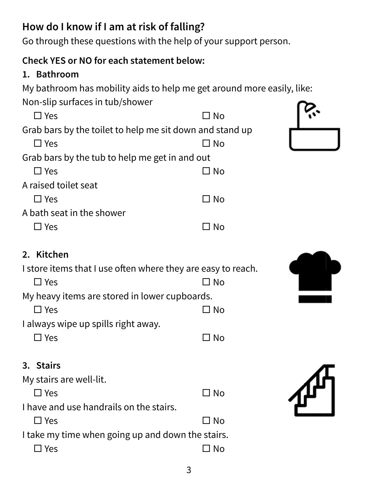# **How do I know if I am at risk of falling?**

Go through these questions with the help of your support person.

#### **Check YES or NO for each statement below:**

#### **1. Bathroom**

My bathroom has mobility aids to help me get around more easily, like:

Non-slip surfaces in tub/shower

| $\square$ Yes                                                | $\square$ No |  |
|--------------------------------------------------------------|--------------|--|
|                                                              |              |  |
| Grab bars by the toilet to help me sit down and stand up     |              |  |
| $\square$ Yes                                                | $\Box$ No    |  |
| Grab bars by the tub to help me get in and out               |              |  |
| $\square$ Yes                                                | $\square$ No |  |
| A raised toilet seat                                         |              |  |
| $\square$ Yes                                                | $\square$ No |  |
| A bath seat in the shower                                    |              |  |
| $\Box$ Yes                                                   | $\Box$ No    |  |
|                                                              |              |  |
| 2. Kitchen                                                   |              |  |
| I store items that I use often where they are easy to reach. |              |  |
| $\Box$ Yes                                                   | $\Box$ No    |  |
| My heavy items are stored in lower cupboards.                |              |  |
| $\Box$ Yes                                                   | $\Box$ No    |  |
| I always wipe up spills right away.                          |              |  |
| $\square$ Yes                                                | $\square$ No |  |
| 3. Stairs                                                    |              |  |
| $M_{11}$ otalise assumed lit                                 |              |  |

My stairs are well-lit.  $\square$  Yes  $\square$  No I have and use handrails on the stairs.  $\square$  Yes  $\square$  No I take my time when going up and down the stairs.  $\square$  Yes  $\square$  No

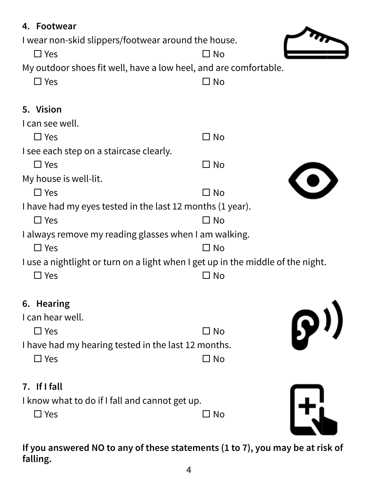| 4. Footwear<br>I wear non-skid slippers/footwear around the house.              |              |                           |
|---------------------------------------------------------------------------------|--------------|---------------------------|
| $\Box$ Yes                                                                      | $\square$ No |                           |
| My outdoor shoes fit well, have a low heel, and are comfortable.                |              |                           |
| $\Box$ Yes                                                                      | $\square$ No |                           |
| 5. Vision                                                                       |              |                           |
| I can see well.                                                                 |              |                           |
| $\square$ Yes                                                                   | $\square$ No |                           |
| I see each step on a staircase clearly.                                         |              |                           |
| $\square$ Yes                                                                   | $\square$ No |                           |
| My house is well-lit.                                                           |              |                           |
| $\Box$ Yes                                                                      | $\square$ No |                           |
| I have had my eyes tested in the last 12 months (1 year).                       |              |                           |
| $\Box$ Yes                                                                      | $\Box$ No    |                           |
| I always remove my reading glasses when I am walking.                           |              |                           |
| $\Box$ Yes                                                                      | $\square$ No |                           |
| I use a nightlight or turn on a light when I get up in the middle of the night. |              |                           |
| $\Box$ Yes                                                                      | ⊐ No         |                           |
| 6. Hearing                                                                      |              |                           |
| I can hear well.                                                                |              |                           |
| $\Box$ Yes                                                                      | $\square$ No | $\mathbf{D}^{\mathbf{y}}$ |
| I have had my hearing tested in the last 12 months.                             |              |                           |
| $\Box$ Yes                                                                      | $\square$ No |                           |
| 7. If I fall                                                                    |              |                           |
| I know what to do if I fall and cannot get up.                                  |              |                           |
| $\Box$ Yes                                                                      | $\square$ No |                           |
|                                                                                 |              |                           |

**If you answered NO to any of these statements (1 to 7), you may be at risk of falling.**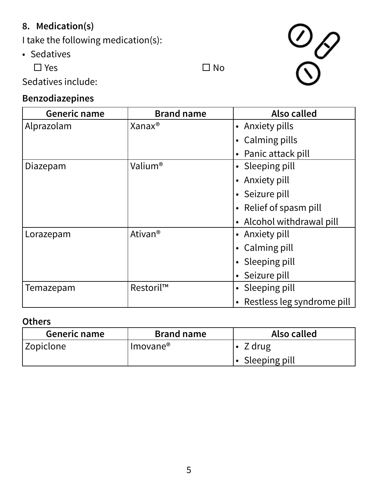#### **8. Medication(s)**

I take the following medication(s):

• Sedatives

 $\square$  Yes  $\square$  No



Sedatives include:

#### **Benzodiazepines**

| Generic name | <b>Brand name</b>   | Also called                  |
|--------------|---------------------|------------------------------|
| Alprazolam   | Xanax <sup>®</sup>  | • Anxiety pills              |
|              |                     | • Calming pills              |
|              |                     | • Panic attack pill          |
| Diazepam     | Valium®             | • Sleeping pill              |
|              |                     | • Anxiety pill               |
|              |                     | • Seizure pill               |
|              |                     | • Relief of spasm pill       |
|              |                     | • Alcohol withdrawal pill    |
| Lorazepam    | Ativan <sup>®</sup> | • Anxiety pill               |
|              |                     | • Calming pill               |
|              |                     | • Sleeping pill              |
|              |                     | • Seizure pill               |
| Temazepam    | Restoril™           | • Sleeping pill              |
|              |                     | • Restless leg syndrome pill |

#### **Others**

| Generic name | <b>Brand name</b>    | Also called           |
|--------------|----------------------|-----------------------|
| Zopiclone    | Imovane <sup>®</sup> | Z drug                |
|              |                      | $\cdot$ Sleeping pill |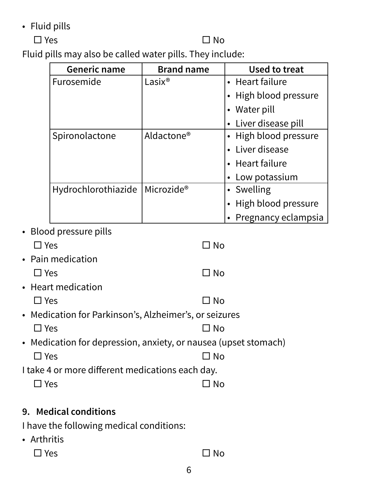• Fluid pills

#### $\square$  Yes  $\square$  No

Fluid pills may also be called water pills. They include:

| <b>Generic name</b> | <b>Brand name</b>      | Used to treat         |
|---------------------|------------------------|-----------------------|
| Furosemide          | Lasix <sup>®</sup>     | • Heart failure       |
|                     |                        | • High blood pressure |
|                     |                        | • Water pill          |
|                     |                        | • Liver disease pill  |
| Spironolactone      | Aldactone <sup>®</sup> | • High blood pressure |
|                     |                        | • Liver disease       |
|                     |                        | • Heart failure       |
|                     |                        | • Low potassium       |
| Hydrochlorothiazide | Microzide®             | • Swelling            |
|                     |                        | • High blood pressure |
|                     |                        | Pregnancy eclampsia   |

• Blood pressure pills

| $\Box$ Yes                                             | ⊐ No                                                            |
|--------------------------------------------------------|-----------------------------------------------------------------|
| • Pain medication                                      |                                                                 |
| $\Box$ Yes                                             | $\Box$ No                                                       |
| • Heart medication                                     |                                                                 |
| $\Box$ Yes                                             | $\Box$ No                                                       |
| • Medication for Parkinson's, Alzheimer's, or seizures |                                                                 |
| $\Box$ Yes                                             | ⊐ No                                                            |
|                                                        | • Medication for depression, anxiety, or nausea (upset stomach) |
| $\Box$ Yes                                             | ⊐ No                                                            |
| I take 4 or more different medications each day.       |                                                                 |
| ] Yes                                                  | N <sub>o</sub>                                                  |
|                                                        |                                                                 |

#### **9. Medical conditions**

I have the following medical conditions:

- Arthritis
	- $\square$  Yes  $\square$  No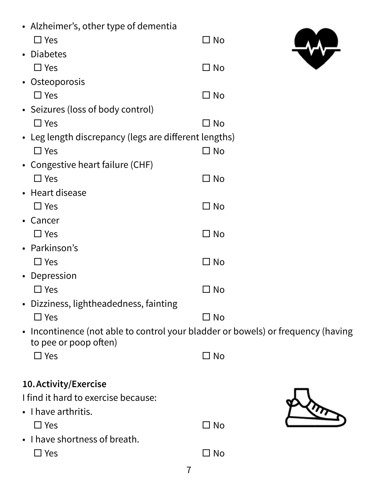| • Alzheimer's, other type of dementia                                                                     |              |
|-----------------------------------------------------------------------------------------------------------|--------------|
| $\square$ Yes                                                                                             | $\Box$ No    |
| • Diabetes                                                                                                |              |
| $\square$ Yes                                                                                             | $\square$ No |
| • Osteoporosis                                                                                            |              |
| $\square$ Yes                                                                                             | $\square$ No |
| • Seizures (loss of body control)                                                                         |              |
| $\square$ Yes                                                                                             | $\square$ No |
| • Leg length discrepancy (legs are different lengths)                                                     |              |
| $\square$ Yes                                                                                             | $\square$ No |
| • Congestive heart failure (CHF)                                                                          |              |
| $\square$ Yes                                                                                             | $\square$ No |
| • Heart disease                                                                                           |              |
| $\square$ Yes                                                                                             | $\square$ No |
| • Cancer                                                                                                  |              |
| $\square$ Yes                                                                                             | $\square$ No |
| • Parkinson's                                                                                             |              |
| $\Box$ Yes                                                                                                | $\square$ No |
| • Depression                                                                                              |              |
| $\square$ Yes                                                                                             | $\square$ No |
| • Dizziness, lightheadedness, fainting                                                                    |              |
| $\Box$ Yes                                                                                                | $\square$ No |
| • Incontinence (not able to control your bladder or bowels) or frequency (having<br>to pee or poop often) |              |
| $\square$ Yes                                                                                             | $\square$ No |
|                                                                                                           |              |
| 10. Activity/Exercise                                                                                     |              |
| I find it hard to exercise because:                                                                       |              |
| • I have arthritis.                                                                                       |              |
| $\square$ Yes                                                                                             | $\square$ No |
| • I have shortness of breath.                                                                             |              |
| $\square$ Yes                                                                                             | $\square$ No |
| $\overline{7}$                                                                                            |              |
|                                                                                                           |              |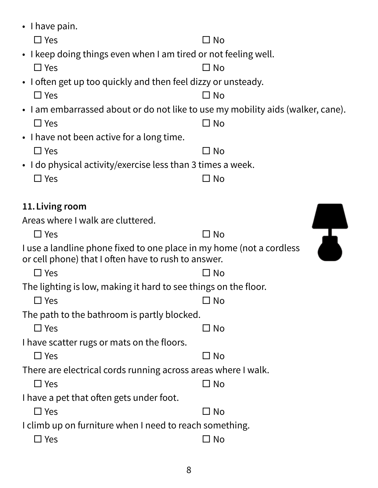| $\cdot$ I have pain.                                                                                                        |              |  |
|-----------------------------------------------------------------------------------------------------------------------------|--------------|--|
| $\square$ Yes                                                                                                               | $\square$ No |  |
| • I keep doing things even when I am tired or not feeling well.                                                             |              |  |
| $\Box$ Yes                                                                                                                  | $\square$ No |  |
| • I often get up too quickly and then feel dizzy or unsteady.                                                               |              |  |
| $\Box$ Yes                                                                                                                  | $\square$ No |  |
| • I am embarrassed about or do not like to use my mobility aids (walker, cane).                                             |              |  |
| $\Box$ Yes                                                                                                                  | $\Box$ No    |  |
| • I have not been active for a long time.                                                                                   |              |  |
| $\Box$ Yes                                                                                                                  | $\square$ No |  |
| • I do physical activity/exercise less than 3 times a week.                                                                 |              |  |
| $\Box$ Yes                                                                                                                  | $\square$ No |  |
|                                                                                                                             |              |  |
| 11. Living room                                                                                                             |              |  |
| Areas where I walk are cluttered.                                                                                           |              |  |
| $\Box$ Yes                                                                                                                  | $\Box$ No    |  |
| I use a landline phone fixed to one place in my home (not a cordless<br>or cell phone) that I often have to rush to answer. |              |  |
| $\square$ Yes                                                                                                               | ⊐ No         |  |
| The lighting is low, making it hard to see things on the floor.                                                             |              |  |
| $\square$ Yes                                                                                                               | ⊐ No         |  |
| The path to the bathroom is partly blocked.                                                                                 |              |  |
| $\square$ Yes                                                                                                               | $\Box$ No    |  |
| I have scatter rugs or mats on the floors.                                                                                  |              |  |
| $\Box$ Yes                                                                                                                  | $\square$ No |  |
| There are electrical cords running across areas where I walk.                                                               |              |  |
| $\Box$ Yes                                                                                                                  | $\Box$ No    |  |
| I have a pet that often gets under foot.                                                                                    |              |  |
| $\Box$ Yes                                                                                                                  | $\Box$ No    |  |
| I climb up on furniture when I need to reach something.                                                                     |              |  |
| $\square$ Yes                                                                                                               | $\square$ No |  |
|                                                                                                                             |              |  |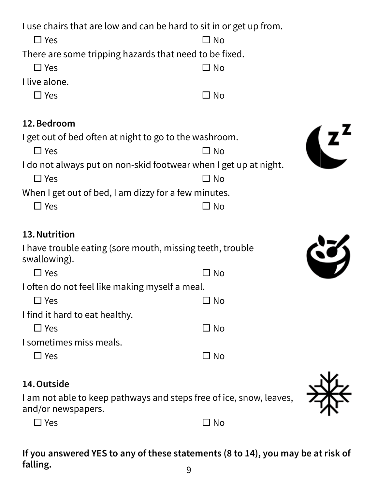I use chairs that are low and can be hard to sit in or get up from.

 $\square$  Yes  $\square$  No There are some tripping hazards that need to be fixed.  $\square$  Yes  $\square$  No I live alone.  $\square$  Yes  $\square$  No **12. Bedroom** I get out of bed often at night to go to the washroom.  $\square$  Yes  $\square$  No I do not always put on non-skid footwear when I get up at night.  $\square$  Yes  $\square$  No When I get out of bed, I am dizzy for a few minutes.  $\square$  Yes  $\square$  No **13. Nutrition**  I have trouble eating (sore mouth, missing teeth, trouble swallowing).  $\square$  Yes  $\square$  No

I often do not feel like making myself a meal.

 $\square$  Yes  $\square$  No I find it hard to eat healthy.

 $\square$  Yes  $\square$  No I sometimes miss meals.  $\square$  Yes  $\square$  No

#### **14. Outside**

I am not able to keep pathways and steps free of ice, snow, leaves, and/or newspapers.

 $\square$  Yes  $\square$  No

**If you answered YES to any of these statements (8 to 14), you may be at risk of falling.**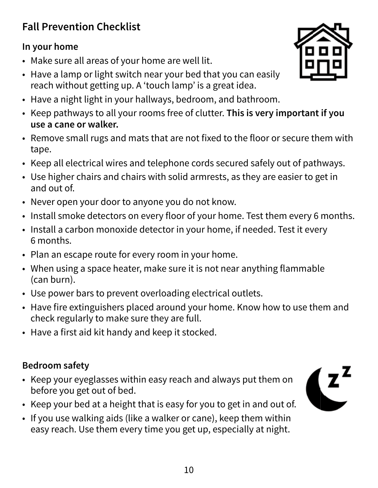## **Fall Prevention Checklist**

#### **In your home**

- Make sure all areas of your home are well lit.
- Have a lamp or light switch near your bed that you can easily reach without getting up. A 'touch lamp' is a great idea.
- Have a night light in your hallways, bedroom, and bathroom.
- Keep pathways to all your rooms free of clutter. **This is very important if you use a cane or walker.**
- Remove small rugs and mats that are not fixed to the floor or secure them with tape.
- Keep all electrical wires and telephone cords secured safely out of pathways.
- Use higher chairs and chairs with solid armrests, as they are easier to get in and out of.
- Never open your door to anyone you do not know.
- Install smoke detectors on every floor of your home. Test them every 6 months.
- Install a carbon monoxide detector in your home, if needed. Test it every 6 months.
- Plan an escape route for every room in your home.
- When using a space heater, make sure it is not near anything flammable (can burn).
- Use power bars to prevent overloading electrical outlets.
- Have fire extinguishers placed around your home. Know how to use them and check regularly to make sure they are full.
- Have a first aid kit handy and keep it stocked.

#### **Bedroom safety**

- Keep your eyeglasses within easy reach and always put them on before you get out of bed.
- Keep your bed at a height that is easy for you to get in and out of.
- If you use walking aids (like a walker or cane), keep them within easy reach. Use them every time you get up, especially at night.



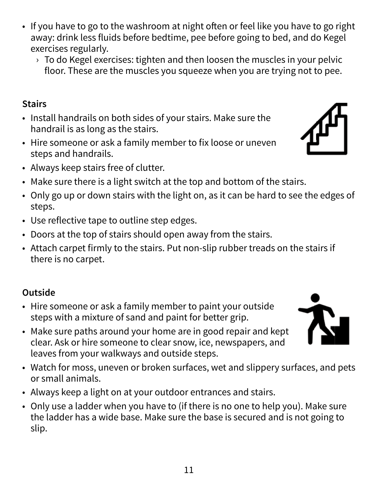- If you have to go to the washroom at night often or feel like you have to go right away: drink less fluids before bedtime, pee before going to bed, and do Kegel exercises regularly.
	- $\rightarrow$  To do Kegel exercises: tighten and then loosen the muscles in your pelvic floor. These are the muscles you squeeze when you are trying not to pee.

#### **Stairs**

- Install handrails on both sides of your stairs. Make sure the handrail is as long as the stairs.
- Hire someone or ask a family member to fix loose or uneven steps and handrails.
- Always keep stairs free of clutter.
- Make sure there is a light switch at the top and bottom of the stairs.
- Only go up or down stairs with the light on, as it can be hard to see the edges of steps.
- Use reflective tape to outline step edges.
- Doors at the top of stairs should open away from the stairs.
- Attach carpet firmly to the stairs. Put non-slip rubber treads on the stairs if there is no carpet.

# **Outside**

- Hire someone or ask a family member to paint your outside steps with a mixture of sand and paint for better grip.
- Make sure paths around your home are in good repair and kept clear. Ask or hire someone to clear snow, ice, newspapers, and leaves from your walkways and outside steps.
- Watch for moss, uneven or broken surfaces, wet and slippery surfaces, and pets or small animals.
- Always keep a light on at your outdoor entrances and stairs.
- Only use a ladder when you have to (if there is no one to help you). Make sure the ladder has a wide base. Make sure the base is secured and is not going to slip.



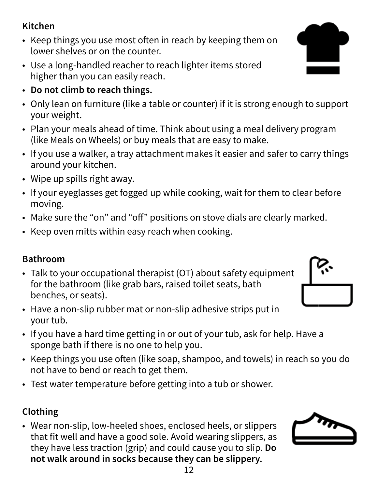#### **Kitchen**

- Keep things you use most often in reach by keeping them on lower shelves or on the counter.
- Use a long-handled reacher to reach lighter items stored higher than you can easily reach.
- **Do not climb to reach things.**
- Only lean on furniture (like a table or counter) if it is strong enough to support your weight.
- Plan your meals ahead of time. Think about using a meal delivery program (like Meals on Wheels) or buy meals that are easy to make.
- If you use a walker, a tray attachment makes it easier and safer to carry things around your kitchen.
- Wipe up spills right away.
- If your eyeglasses get fogged up while cooking, wait for them to clear before moving.
- Make sure the "on" and "off" positions on stove dials are clearly marked.
- Keep oven mitts within easy reach when cooking.

#### **Bathroom**

- Talk to your occupational therapist (OT) about safety equipment for the bathroom (like grab bars, raised toilet seats, bath benches, or seats).
- Have a non-slip rubber mat or non-slip adhesive strips put in your tub.
- If you have a hard time getting in or out of your tub, ask for help. Have a sponge bath if there is no one to help you.
- Keep things you use often (like soap, shampoo, and towels) in reach so you do not have to bend or reach to get them.
- Test water temperature before getting into a tub or shower.

### **Clothing**

• Wear non-slip, low-heeled shoes, enclosed heels, or slippers that fit well and have a good sole. Avoid wearing slippers, as they have less traction (grip) and could cause you to slip. **Do not walk around in socks because they can be slippery.**





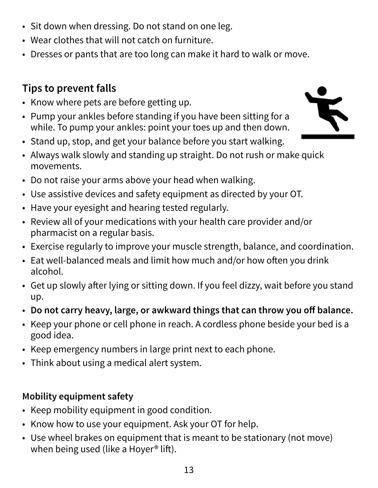- Sit down when dressing. Do not stand on one leg.
- Wear clothes that will not catch on furniture.
- Dresses or pants that are too long can make it hard to walk or move.

### **Tips to prevent falls**

- Know where pets are before getting up.
- Pump your ankles before standing if you have been sitting for a while. To pump your ankles: point your toes up and then down.
- Stand up, stop, and get your balance before you start walking.
- Always walk slowly and standing up straight. Do not rush or make quick movements.
- Do not raise your arms above your head when walking.
- Use assistive devices and safety equipment as directed by your OT.
- Have your eyesight and hearing tested regularly.
- Review all of your medications with your health care provider and/or pharmacist on a regular basis.
- Exercise regularly to improve your muscle strength, balance, and coordination.
- Eat well-balanced meals and limit how much and/or how often you drink alcohol.
- Get up slowly after lying or sitting down. If you feel dizzy, wait before you stand up.
- **Do not carry heavy, large, or awkward things that can throw you off balance.**
- Keep your phone or cell phone in reach. A cordless phone beside your bed is a good idea.
- Keep emergency numbers in large print next to each phone.
- Think about using a medical alert system.

#### **Mobility equipment safety**

- Keep mobility equipment in good condition.
- Know how to use your equipment. Ask your OT for help.
- Use wheel brakes on equipment that is meant to be stationary (not move) when being used (like a Hoyer<sup>®</sup> lift).

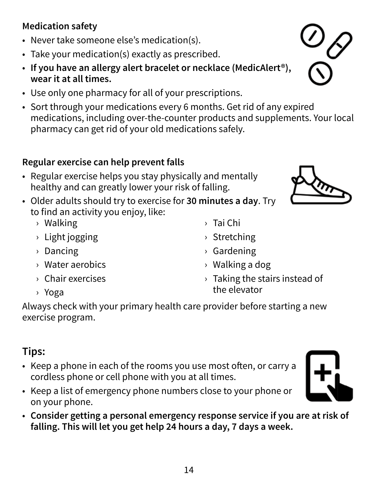#### **Medication safety**

- Never take someone else's medication(s).
- Take your medication(s) exactly as prescribed.
- **If you have an allergy alert bracelet or necklace (MedicAlert®), wear it at all times.**
- Use only one pharmacy for all of your prescriptions.
- Sort through your medications every 6 months. Get rid of any expired medications, including over-the-counter products and supplements. Your local pharmacy can get rid of your old medications safely.

#### **Regular exercise can help prevent falls**

- Regular exercise helps you stay physically and mentally healthy and can greatly lower your risk of falling.
- Older adults should try to exercise for **30 minutes a day**. Try to find an activity you enjoy, like:
	- › Walking
	- › Light jogging
	- › Dancing
	- › Water aerobics
	- › Chair exercises
	- › Yoga

Always check with your primary health care provider before starting a new exercise program.

### **Tips:**

- Keep a phone in each of the rooms you use most often, or carry a cordless phone or cell phone with you at all times.
- Keep a list of emergency phone numbers close to your phone or on your phone.
- **Consider getting a personal emergency response service if you are at risk of falling. This will let you get help 24 hours a day, 7 days a week.**



- › Stretching
- › Gardening
- › Walking a dog
- › Taking the stairs instead of the elevator